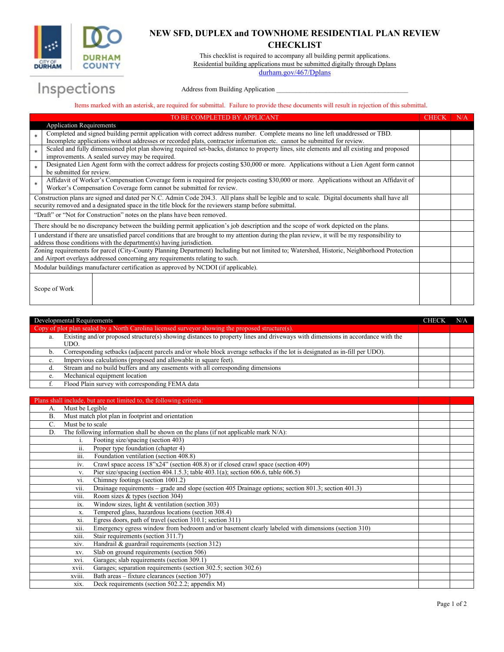

## **NEW SFD, DUPLEX and TOWNHOME RESIDENTIAL PLAN REVIEW CHECKLIST**

This checklist is required to accompany all building permit applications. Residential building applications must be submitted digitally through Dplans

[durham.gov/467/Dplans](mailto:Dplans@durhamnc.gov)

## Inspections

## Address from Building Application

Items marked with an asterisk, are required for submittal. Failure to provide these documents will result in rejection of this submittal.

| TO BE COMPLETED BY APPLICANT                                                                                                                     |                                                                                                                                                                                              |  | N/A |
|--------------------------------------------------------------------------------------------------------------------------------------------------|----------------------------------------------------------------------------------------------------------------------------------------------------------------------------------------------|--|-----|
|                                                                                                                                                  | <b>Application Requirements</b>                                                                                                                                                              |  |     |
| $\ast$                                                                                                                                           | Completed and signed building permit application with correct address number. Complete means no line left unaddressed or TBD.                                                                |  |     |
|                                                                                                                                                  | Incomplete applications without addresses or recorded plats, contractor information etc. cannot be submitted for review.                                                                     |  |     |
| $\ast$                                                                                                                                           | Scaled and fully dimensioned plot plan showing required set-backs, distance to property lines, site elements and all existing and proposed<br>improvements. A sealed survey may be required. |  |     |
|                                                                                                                                                  | Designated Lien Agent form with the correct address for projects costing \$30,000 or more. Applications without a Lien Agent form cannot                                                     |  |     |
| $\ast$                                                                                                                                           | be submitted for review.                                                                                                                                                                     |  |     |
| $\ast$                                                                                                                                           | Affidavit of Worker's Compensation Coverage form is required for projects costing \$30,000 or more. Applications without an Affidavit of                                                     |  |     |
|                                                                                                                                                  | Worker's Compensation Coverage form cannot be submitted for review.                                                                                                                          |  |     |
| Construction plans are signed and dated per N.C. Admin Code 204.3. All plans shall be legible and to scale. Digital documents shall have all     |                                                                                                                                                                                              |  |     |
|                                                                                                                                                  | security removed and a designated space in the title block for the reviewers stamp before submittal.                                                                                         |  |     |
| "Draft" or "Not for Construction" notes on the plans have been removed.                                                                          |                                                                                                                                                                                              |  |     |
| There should be no discrepancy between the building permit application's job description and the scope of work depicted on the plans.            |                                                                                                                                                                                              |  |     |
| I understand if there are unsatisfied parcel conditions that are brought to my attention during the plan review, it will be my responsibility to |                                                                                                                                                                                              |  |     |
| address those conditions with the department(s) having jurisdiction.                                                                             |                                                                                                                                                                                              |  |     |
| Zoning requirements for parcel (City-County Planning Department) Including but not limited to; Watershed, Historic, Neighborhood Protection      |                                                                                                                                                                                              |  |     |
| and Airport overlays addressed concerning any requirements relating to such.                                                                     |                                                                                                                                                                                              |  |     |
| Modular buildings manufacturer certification as approved by NCDOI (if applicable).                                                               |                                                                                                                                                                                              |  |     |
|                                                                                                                                                  |                                                                                                                                                                                              |  |     |
|                                                                                                                                                  | Scope of Work                                                                                                                                                                                |  |     |
|                                                                                                                                                  |                                                                                                                                                                                              |  |     |
|                                                                                                                                                  |                                                                                                                                                                                              |  |     |

| Developmental Requirements                                                                        |                                                                                                                                |  | N/A |
|---------------------------------------------------------------------------------------------------|--------------------------------------------------------------------------------------------------------------------------------|--|-----|
| Copy of plot plan sealed by a North Carolina licensed surveyor showing the proposed structure(s). |                                                                                                                                |  |     |
| a.                                                                                                | Existing and/or proposed structure(s) showing distances to property lines and driveways with dimensions in accordance with the |  |     |
|                                                                                                   | UDO.                                                                                                                           |  |     |
| b.                                                                                                | Corresponding setbacks (adjacent parcels and/or whole block average setbacks if the lot is designated as in-fill per UDO).     |  |     |
| c.                                                                                                | Impervious calculations (proposed and allowable in square feet).                                                               |  |     |
|                                                                                                   | Stream and no build buffers and any easements with all corresponding dimensions                                                |  |     |
|                                                                                                   | Mechanical equipment location                                                                                                  |  |     |
|                                                                                                   | Flood Plain survey with corresponding FEMA data                                                                                |  |     |

## Plans shall include, but are not limited to, the following criteria:

| А.                                                             | Must be Legible                                                                     |                                                                                                      |  |
|----------------------------------------------------------------|-------------------------------------------------------------------------------------|------------------------------------------------------------------------------------------------------|--|
| Must match plot plan in footprint and orientation<br><b>B.</b> |                                                                                     |                                                                                                      |  |
| Must be to scale<br>C.                                         |                                                                                     |                                                                                                      |  |
| D.                                                             | The following information shall be shown on the plans (if not applicable mark N/A): |                                                                                                      |  |
|                                                                | i.                                                                                  | Footing size/spacing (section 403)                                                                   |  |
|                                                                | $\overline{\mathbf{11}}$ .                                                          | Proper type foundation (chapter 4)                                                                   |  |
|                                                                | $\cdots$<br>111.                                                                    | Foundation ventilation (section 408.8)                                                               |  |
|                                                                | iv.                                                                                 | Crawl space access 18"x24" (section 408.8) or if closed crawl space (section 409)                    |  |
|                                                                | V.                                                                                  | Pier size/spacing (section $404.1.5.3$ ; table $403.1(a)$ ; section $606.6$ , table $606.5$ )        |  |
|                                                                | vi.                                                                                 | Chimney footings (section 1001.2)                                                                    |  |
|                                                                | vii.                                                                                | Drainage requirements – grade and slope (section 405 Drainage options; section 801.3; section 401.3) |  |
|                                                                | VIII.                                                                               | Room sizes & types (section 304)                                                                     |  |
|                                                                | ix.                                                                                 | Window sizes, light & ventilation (section 303)                                                      |  |
|                                                                | X.                                                                                  | Tempered glass, hazardous locations (section 308.4)                                                  |  |
|                                                                | xi.                                                                                 | Egress doors, path of travel (section 310.1; section 311)                                            |  |
|                                                                | XII.                                                                                | Emergency egress window from bedroom and/or basement clearly labeled with dimensions (section 310)   |  |
|                                                                | X111.                                                                               | Stair requirements (section 311.7)                                                                   |  |
|                                                                | xiv.                                                                                | Handrail & guardrail requirements (section 312)                                                      |  |
|                                                                | XV.                                                                                 | Slab on ground requirements (section 506)                                                            |  |
|                                                                | XV1.                                                                                | Garages; slab requirements (section 309.1)                                                           |  |
|                                                                | xvii.                                                                               | Garages; separation requirements (section 302.5; section 302.6)                                      |  |
|                                                                | xviii.                                                                              | Bath areas – fixture clearances (section 307)                                                        |  |
|                                                                | XIX.                                                                                | Deck requirements (section 502.2.2; appendix M)                                                      |  |